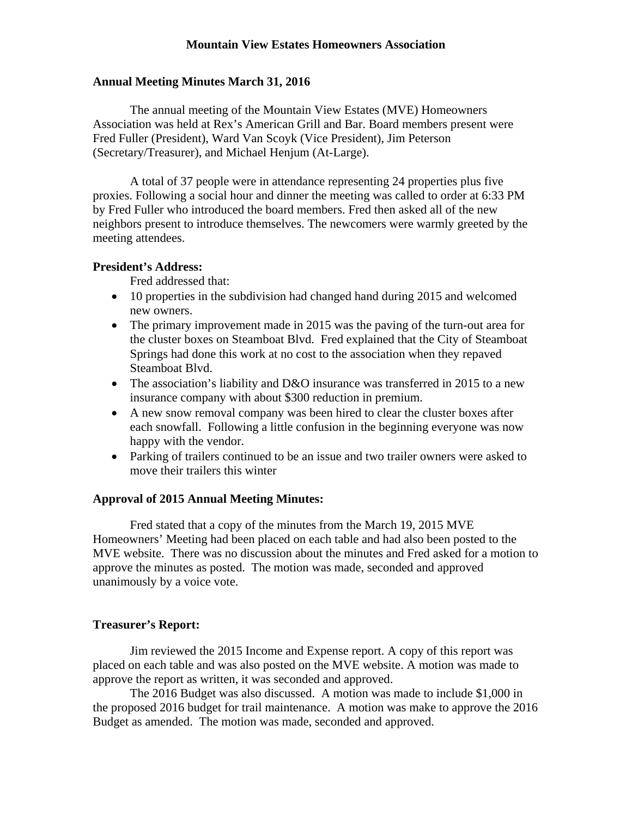# **Mountain View Estates Homeowners Association**

## **Annual Meeting Minutes March 31, 2016**

The annual meeting of the Mountain View Estates (MVE) Homeowners Association was held at Rex's American Grill and Bar. Board members present were Fred Fuller (President), Ward Van Scoyk (Vice President), Jim Peterson (Secretary/Treasurer), and Michael Henjum (At-Large).

A total of 37 people were in attendance representing 24 properties plus five proxies. Following a social hour and dinner the meeting was called to order at 6:33 PM by Fred Fuller who introduced the board members. Fred then asked all of the new neighbors present to introduce themselves. The newcomers were warmly greeted by the meeting attendees.

# **President's Address:**

Fred addressed that:

- 10 properties in the subdivision had changed hand during 2015 and welcomed new owners.
- The primary improvement made in 2015 was the paving of the turn-out area for the cluster boxes on Steamboat Blvd. Fred explained that the City of Steamboat Springs had done this work at no cost to the association when they repaved Steamboat Blvd.
- The association's liability and D&O insurance was transferred in 2015 to a new insurance company with about \$300 reduction in premium.
- A new snow removal company was been hired to clear the cluster boxes after each snowfall. Following a little confusion in the beginning everyone was now happy with the vendor.
- Parking of trailers continued to be an issue and two trailer owners were asked to move their trailers this winter

### **Approval of 2015 Annual Meeting Minutes:**

Fred stated that a copy of the minutes from the March 19, 2015 MVE Homeowners' Meeting had been placed on each table and had also been posted to the MVE website. There was no discussion about the minutes and Fred asked for a motion to approve the minutes as posted. The motion was made, seconded and approved unanimously by a voice vote.

### **Treasurer's Report:**

Jim reviewed the 2015 Income and Expense report. A copy of this report was placed on each table and was also posted on the MVE website. A motion was made to approve the report as written, it was seconded and approved.

The 2016 Budget was also discussed. A motion was made to include \$1,000 in the proposed 2016 budget for trail maintenance. A motion was make to approve the 2016 Budget as amended. The motion was made, seconded and approved.